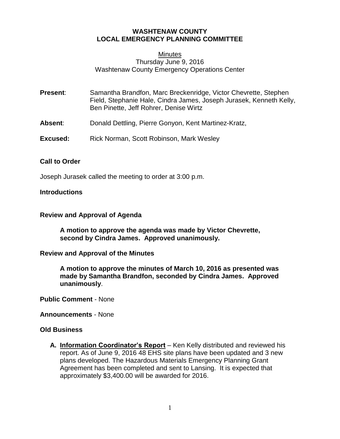# **WASHTENAW COUNTY LOCAL EMERGENCY PLANNING COMMITTEE**

### **Minutes** Thursday June 9, 2016 Washtenaw County Emergency Operations Center

| Present: | Samantha Brandfon, Marc Breckenridge, Victor Chevrette, Stephen<br>Field, Stephanie Hale, Cindra James, Joseph Jurasek, Kenneth Kelly,<br>Ben Pinette, Jeff Rohrer, Denise Wirtz |
|----------|----------------------------------------------------------------------------------------------------------------------------------------------------------------------------------|
|          |                                                                                                                                                                                  |

- **Absent**: Donald Dettling, Pierre Gonyon, Kent Martinez-Kratz,
- **Excused:** Rick Norman, Scott Robinson, Mark Wesley

## **Call to Order**

Joseph Jurasek called the meeting to order at 3:00 p.m.

# **Introductions**

## **Review and Approval of Agenda**

**A motion to approve the agenda was made by Victor Chevrette, second by Cindra James. Approved unanimously.**

#### **Review and Approval of the Minutes**

**A motion to approve the minutes of March 10, 2016 as presented was made by Samantha Brandfon, seconded by Cindra James. Approved unanimously**.

**Public Comment** - None

**Announcements** - None

## **Old Business**

**A. Information Coordinator's Report** – Ken Kelly distributed and reviewed his report. As of June 9, 2016 48 EHS site plans have been updated and 3 new plans developed. The Hazardous Materials Emergency Planning Grant Agreement has been completed and sent to Lansing. It is expected that approximately \$3,400.00 will be awarded for 2016.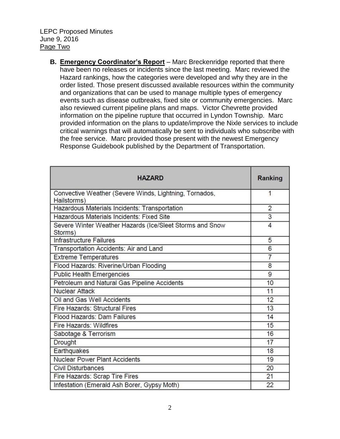**B. Emergency Coordinator's Report** – Marc Breckenridge reported that there have been no releases or incidents since the last meeting. Marc reviewed the Hazard rankings, how the categories were developed and why they are in the order listed. Those present discussed available resources within the community and organizations that can be used to manage multiple types of emergency events such as disease outbreaks, fixed site or community emergencies. Marc also reviewed current pipeline plans and maps. Victor Chevrette provided information on the pipeline rupture that occurred in Lyndon Township. Marc provided information on the plans to update/improve the Nixle services to include critical warnings that will automatically be sent to individuals who subscribe with the free service. Marc provided those present with the newest Emergency Response Guidebook published by the Department of Transportation.

| <b>HAZARD</b>                                                         | Ranking        |
|-----------------------------------------------------------------------|----------------|
| Convective Weather (Severe Winds, Lightning, Tornados,<br>Hailstorms) | 1              |
| Hazardous Materials Incidents: Transportation                         | $\overline{2}$ |
| Hazardous Materials Incidents: Fixed Site                             | 3              |
| Severe Winter Weather Hazards (Ice/Sleet Storms and Snow<br>Storms)   | 4              |
| <b>Infrastructure Failures</b>                                        | 5              |
| Transportation Accidents: Air and Land                                | 6              |
| <b>Extreme Temperatures</b>                                           | $\overline{7}$ |
| Flood Hazards: Riverine/Urban Flooding                                | 8              |
| <b>Public Health Emergencies</b>                                      | 9              |
| Petroleum and Natural Gas Pipeline Accidents                          | 10             |
| <b>Nuclear Attack</b>                                                 | 11             |
| Oil and Gas Well Accidents                                            | 12             |
| Fire Hazards: Structural Fires                                        | 13             |
| Flood Hazards: Dam Failures                                           | 14             |
| <b>Fire Hazards: Wildfires</b>                                        | 15             |
| Sabotage & Terrorism                                                  | 16             |
| <b>Drought</b>                                                        | 17             |
| Earthquakes                                                           | 18             |
| <b>Nuclear Power Plant Accidents</b>                                  | 19             |
| <b>Civil Disturbances</b>                                             | 20             |
| Fire Hazards: Scrap Tire Fires                                        | 21             |
| Infestation (Emerald Ash Borer, Gypsy Moth)                           | 22             |